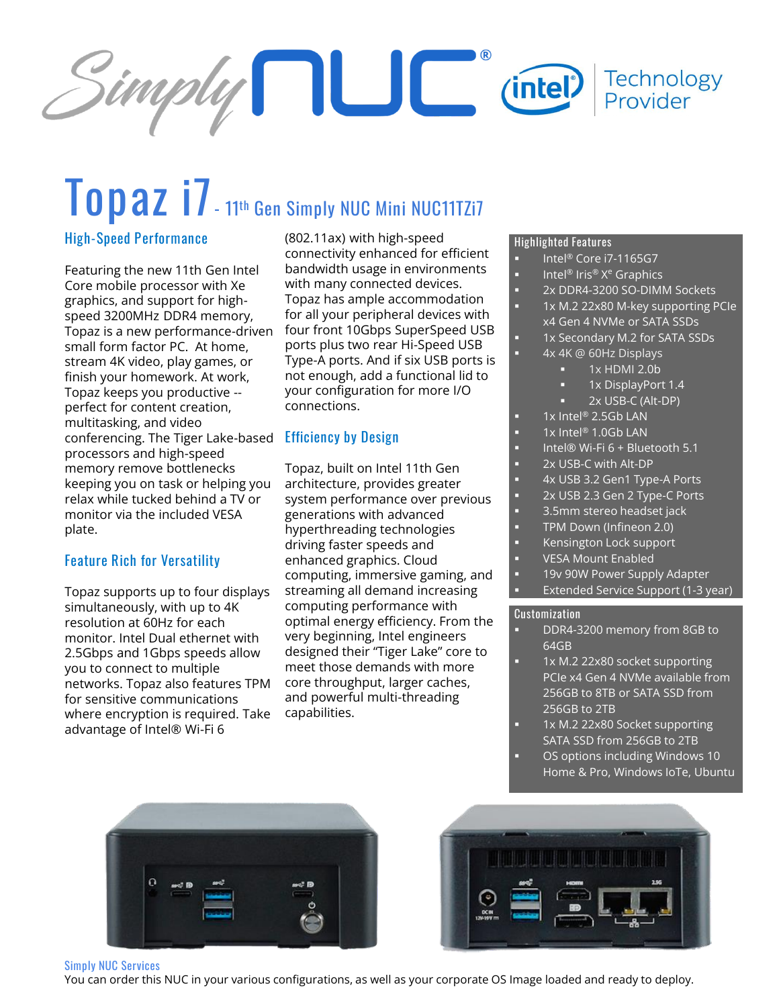

# **Topaz i7- <sup>11</sup>th Gen Simply NUC Mini NUC11TZi7**

#### **High-Speed Performance**

Featuring the new 11th Gen Intel Core mobile processor with Xe graphics, and support for highspeed 3200MHz DDR4 memory, Topaz is a new performance-driven small form factor PC. At home, stream 4K video, play games, or finish your homework. At work, Topaz keeps you productive - perfect for content creation, multitasking, and video conferencing. The Tiger Lake-based **Efficiency by Design** processors and high-speed memory remove bottlenecks keeping you on task or helping you relax while tucked behind a TV or monitor via the included VESA plate.

#### **Feature Rich for Versatility**

Topaz supports up to four displays simultaneously, with up to 4K resolution at 60Hz for each monitor. Intel Dual ethernet with 2.5Gbps and 1Gbps speeds allow you to connect to multiple networks. Topaz also features TPM for sensitive communications where encryption is required. Take advantage of Intel® Wi-Fi 6

(802.11ax) with high-speed connectivity enhanced for efficient bandwidth usage in environments with many connected devices. Topaz has ample accommodation for all your peripheral devices with four front 10Gbps SuperSpeed USB ports plus two rear Hi-Speed USB Type-A ports. And if six USB ports is not enough, add a functional lid to your configuration for more I/O connections.

Topaz, built on Intel 11th Gen architecture, provides greater system performance over previous generations with advanced hyperthreading technologies driving faster speeds and enhanced graphics. Cloud computing, immersive gaming, and streaming all demand increasing computing performance with optimal energy efficiency. From the very beginning, Intel engineers designed their "Tiger Lake" core to meet those demands with more core throughput, larger caches, and powerful multi-threading capabilities.

#### **Highlighted Features**

- Intel® Core i7-1165G7
- Intel® Iris® X<sup>e</sup> Graphics
	- 2x DDR4-3200 SO-DIMM Sockets
	- 1x M.2 22x80 M-key supporting PCIe
		- x4 Gen 4 NVMe or SATA SSDs
	- 1x Secondary M.2 for SATA SSDs
	- 4x 4K @ 60Hz Displays
		- 1x HDMI 2.0b
		- 1x DisplayPort 1.4
		- 2x USB-C (Alt-DP)
	- $1x$  Intel® 2.5Gb LAN
- 1x Intel® 1.0Gb LAN
- Intel® Wi-Fi 6 + Bluetooth 5.1
- 2x USB-C with Alt-DP
- 4x USB 3.2 Gen1 Type-A Ports
- 2x USB 2.3 Gen 2 Type-C Ports
- 3.5mm stereo headset jack
- TPM Down (Infineon 2.0)
- Kensington Lock support
- **VESA Mount Enabled**
- 19v 90W Power Supply Adapter Extended Service Support (1-3 year)

#### **Customization**

- DDR4-3200 memory from 8GB to 64GB
- 1x M.2 22x80 socket supporting PCIe x4 Gen 4 NVMe available from 256GB to 8TB or SATA SSD from 256GB to 2TB
- 1x M.2 22x80 Socket supporting SATA SSD from 256GB to 2TB OS options including Windows 10
- Home & Pro, Windows IoTe, Ubuntu





#### **Simply NUC Services**

You can order this NUC in your various configurations, as well as your corporate OS Image loaded and ready to deploy.